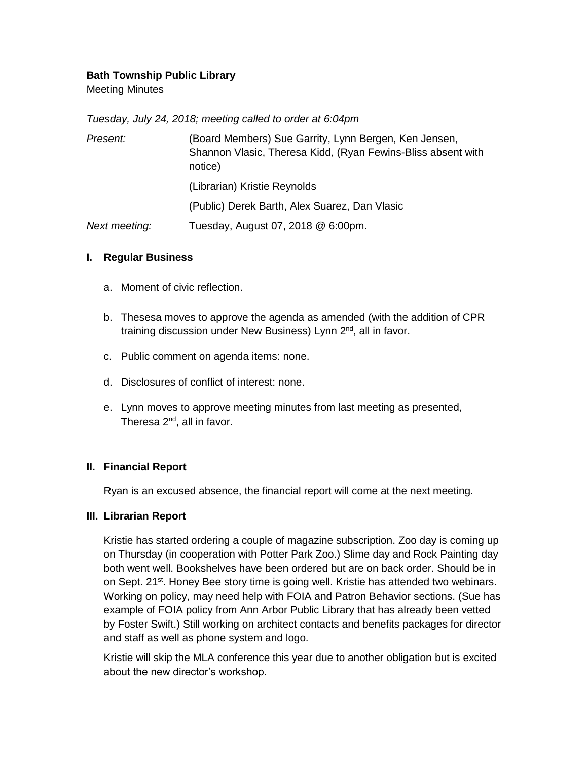# **Bath Township Public Library**

Meeting Minutes

| Tuesday, July 24, 2018; meeting called to order at 6:04pm |  |  |  |
|-----------------------------------------------------------|--|--|--|
|                                                           |  |  |  |

| Present:      | (Board Members) Sue Garrity, Lynn Bergen, Ken Jensen,<br>Shannon Vlasic, Theresa Kidd, (Ryan Fewins-Bliss absent with<br>notice) |  |  |  |
|---------------|----------------------------------------------------------------------------------------------------------------------------------|--|--|--|
|               | (Librarian) Kristie Reynolds                                                                                                     |  |  |  |
|               | (Public) Derek Barth, Alex Suarez, Dan Vlasic                                                                                    |  |  |  |
| Next meeting: | Tuesday, August 07, 2018 @ 6:00pm.                                                                                               |  |  |  |

### **I. Regular Business**

- a. Moment of civic reflection.
- b. Thesesa moves to approve the agenda as amended (with the addition of CPR training discussion under New Business) Lynn 2<sup>nd</sup>, all in favor.
- c. Public comment on agenda items: none.
- d. Disclosures of conflict of interest: none.
- e. Lynn moves to approve meeting minutes from last meeting as presented, Theresa 2<sup>nd</sup>, all in favor.

### **II. Financial Report**

Ryan is an excused absence, the financial report will come at the next meeting.

#### **III. Librarian Report**

Kristie has started ordering a couple of magazine subscription. Zoo day is coming up on Thursday (in cooperation with Potter Park Zoo.) Slime day and Rock Painting day both went well. Bookshelves have been ordered but are on back order. Should be in on Sept. 21<sup>st</sup>. Honey Bee story time is going well. Kristie has attended two webinars. Working on policy, may need help with FOIA and Patron Behavior sections. (Sue has example of FOIA policy from Ann Arbor Public Library that has already been vetted by Foster Swift.) Still working on architect contacts and benefits packages for director and staff as well as phone system and logo.

Kristie will skip the MLA conference this year due to another obligation but is excited about the new director's workshop.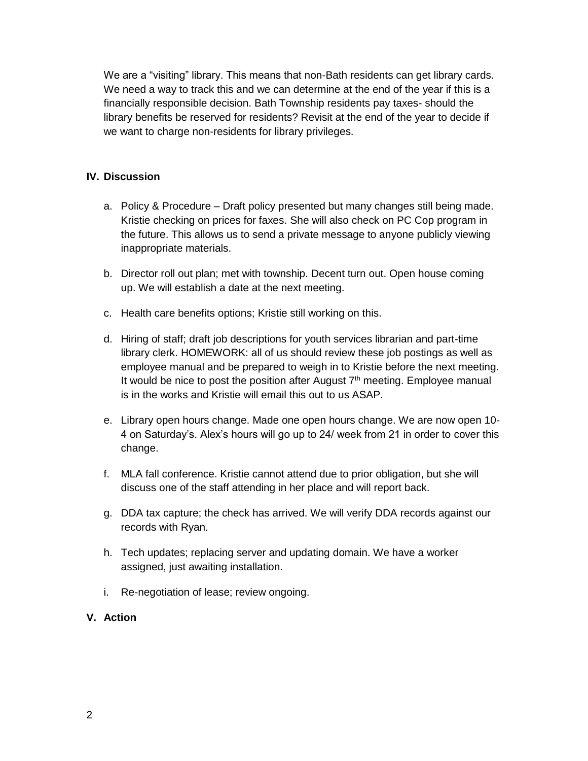We are a "visiting" library. This means that non-Bath residents can get library cards. We need a way to track this and we can determine at the end of the year if this is a financially responsible decision. Bath Township residents pay taxes- should the library benefits be reserved for residents? Revisit at the end of the year to decide if we want to charge non-residents for library privileges.

# **IV. Discussion**

- a. Policy & Procedure Draft policy presented but many changes still being made. Kristie checking on prices for faxes. She will also check on PC Cop program in the future. This allows us to send a private message to anyone publicly viewing inappropriate materials.
- b. Director roll out plan; met with township. Decent turn out. Open house coming up. We will establish a date at the next meeting.
- c. Health care benefits options; Kristie still working on this.
- d. Hiring of staff; draft job descriptions for youth services librarian and part-time library clerk. HOMEWORK: all of us should review these job postings as well as employee manual and be prepared to weigh in to Kristie before the next meeting. It would be nice to post the position after August  $7<sup>th</sup>$  meeting. Employee manual is in the works and Kristie will email this out to us ASAP.
- e. Library open hours change. Made one open hours change. We are now open 10- 4 on Saturday's. Alex's hours will go up to 24/ week from 21 in order to cover this change.
- f. MLA fall conference. Kristie cannot attend due to prior obligation, but she will discuss one of the staff attending in her place and will report back.
- g. DDA tax capture; the check has arrived. We will verify DDA records against our records with Ryan.
- h. Tech updates; replacing server and updating domain. We have a worker assigned, just awaiting installation.
- i. Re-negotiation of lease; review ongoing.

## **V. Action**